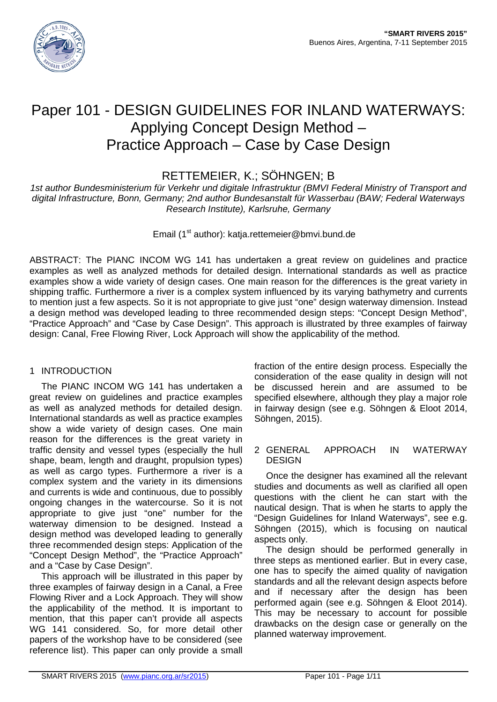

# Paper 101 - DESIGN GUIDELINES FOR INLAND WATERWAYS: Applying Concept Design Method – Practice Approach – Case by Case Design

RETTEMEIER, K.; SÖHNGEN; B

*1st author Bundesministerium für Verkehr und digitale Infrastruktur (BMVI Federal Ministry of Transport and digital Infrastructure, Bonn, Germany; 2nd author Bundesanstalt für Wasserbau (BAW; Federal Waterways Research Institute), Karlsruhe, Germany*

Email (1<sup>st</sup> author): katja.rettemeier@bmvi.bund.de

ABSTRACT: The PIANC INCOM WG 141 has undertaken a great review on guidelines and practice examples as well as analyzed methods for detailed design. International standards as well as practice examples show a wide variety of design cases. One main reason for the differences is the great variety in shipping traffic. Furthermore a river is a complex system influenced by its varying bathymetry and currents to mention just a few aspects. So it is not appropriate to give just "one" design waterway dimension. Instead a design method was developed leading to three recommended design steps: "Concept Design Method", "Practice Approach" and "Case by Case Design". This approach is illustrated by three examples of fairway design: Canal, Free Flowing River, Lock Approach will show the applicability of the method.

## 1 INTRODUCTION

The PIANC INCOM WG 141 has undertaken a great review on guidelines and practice examples as well as analyzed methods for detailed design. International standards as well as practice examples show a wide variety of design cases. One main reason for the differences is the great variety in traffic density and vessel types (especially the hull shape, beam, length and draught, propulsion types) as well as cargo types. Furthermore a river is a complex system and the variety in its dimensions and currents is wide and continuous, due to possibly ongoing changes in the watercourse. So it is not appropriate to give just "one" number for the waterway dimension to be designed. Instead a design method was developed leading to generally three recommended design steps: Application of the "Concept Design Method", the "Practice Approach" and a "Case by Case Design".

This approach will be illustrated in this paper by three examples of fairway design in a Canal, a Free Flowing River and a Lock Approach. They will show the applicability of the method. It is important to mention, that this paper can't provide all aspects WG 141 considered. So, for more detail other papers of the workshop have to be considered (see reference list). This paper can only provide a small

fraction of the entire design process. Especially the consideration of the ease quality in design will not be discussed herein and are assumed to be specified elsewhere, although they play a major role in fairway design (see e.g. Söhngen & Eloot 2014, Söhngen, 2015).

## 2 GENERAL APPROACH IN WATERWAY DESIGN

Once the designer has examined all the relevant studies and documents as well as clarified all open questions with the client he can start with the nautical design. That is when he starts to apply the "Design Guidelines for Inland Waterways", see e.g. Söhngen (2015), which is focusing on nautical aspects only.

The design should be performed generally in three steps as mentioned earlier. But in every case, one has to specify the aimed quality of navigation standards and all the relevant design aspects before and if necessary after the design has been performed again (see e.g. Söhngen & Eloot 2014). This may be necessary to account for possible drawbacks on the design case or generally on the planned waterway improvement.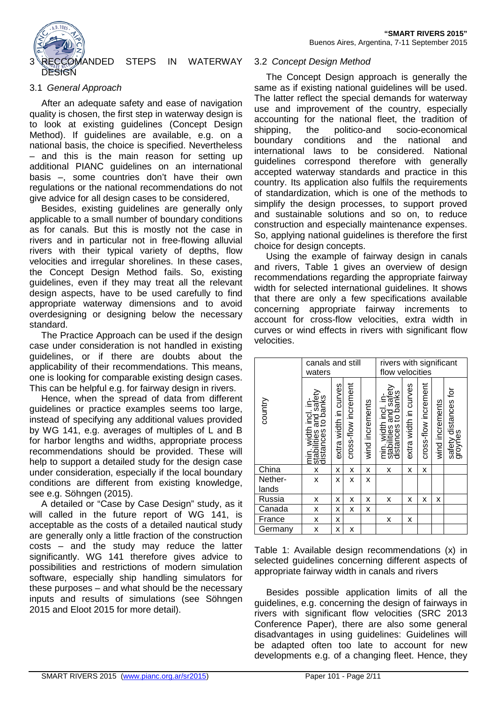

## MANDED STEPS IN WATERWAY

## 3.1 *General Approach*

After an adequate safety and ease of navigation quality is chosen, the first step in waterway design is to look at existing guidelines (Concept Design Method). If guidelines are available, e.g. on a national basis, the choice is specified. Nevertheless – and this is the main reason for setting up additional PIANC guidelines on an international basis –, some countries don't have their own regulations or the national recommendations do not give advice for all design cases to be considered,

Besides, existing guidelines are generally only applicable to a small number of boundary conditions as for canals. But this is mostly not the case in rivers and in particular not in free-flowing alluvial rivers with their typical variety of depths, flow velocities and irregular shorelines. In these cases, the Concept Design Method fails. So, existing guidelines, even if they may treat all the relevant design aspects, have to be used carefully to find appropriate waterway dimensions and to avoid overdesigning or designing below the necessary standard.

The Practice Approach can be used if the design case under consideration is not handled in existing guidelines, or if there are doubts about the applicability of their recommendations. This means, one is looking for comparable existing design cases. This can be helpful e.g. for fairway design in rivers.

Hence, when the spread of data from different guidelines or practice examples seems too large, instead of specifying any additional values provided by WG 141, e.g. averages of multiples of L and B for harbor lengths and widths, appropriate process recommendations should be provided. These will help to support a detailed study for the design case under consideration, especially if the local boundary conditions are different from existing knowledge, see e.g. Söhngen (2015).

A detailed or "Case by Case Design" study, as it will called in the future report of WG 141, is acceptable as the costs of a detailed nautical study are generally only a little fraction of the construction costs – and the study may reduce the latter significantly. WG 141 therefore gives advice to possibilities and restrictions of modern simulation software, especially ship handling simulators for these purposes – and what should be the necessary inputs and results of simulations (see Söhngen 2015 and Eloot 2015 for more detail).

#### 3.2 *Concept Design Method*

The Concept Design approach is generally the same as if existing national guidelines will be used. The latter reflect the special demands for waterway use and improvement of the country, especially accounting for the national fleet, the tradition of shipping, the politico-and socio-economical boundary conditions and the national and international laws to be considered. National guidelines correspond therefore with generally accepted waterway standards and practice in this country. Its application also fulfils the requirements of standardization, which is one of the methods to simplify the design processes, to support proved and sustainable solutions and so on, to reduce construction and especially maintenance expenses. So, applying national guidelines is therefore the first choice for design concepts.

Using the example of fairway design in canals and rivers, Table 1 gives an overview of design recommendations regarding the appropriate fairway width for selected international guidelines. It shows that there are only a few specifications available concerning appropriate fairway increments to account for cross-flow velocities, extra width in curves or wind effects in rivers with significant flow velocities.

|                  | canals and still<br>waters                                           |                       |                      |                 | rivers with significant<br>flow velocities                           |                       |                      |                 |                                 |
|------------------|----------------------------------------------------------------------|-----------------------|----------------------|-----------------|----------------------------------------------------------------------|-----------------------|----------------------|-----------------|---------------------------------|
| country          | min. width incl. in-<br>stabilities and safety<br>distances to banks | extra width in curves | cross-flow increment | wind increments | min. width incl. in-<br>stabilities and safety<br>distances to banks | extra width in curves | cross-flow increment | wind increments | safety distances for<br>groynes |
| China            | X                                                                    | x                     | x                    | x               | x                                                                    | x                     | x                    |                 |                                 |
| Nether-<br>lands | x                                                                    | x                     | X                    | X               |                                                                      |                       |                      |                 |                                 |
| Russia           | x                                                                    | x                     | x                    | х               | x                                                                    | x                     | x                    | х               |                                 |
| Canada           | x                                                                    | x                     | x                    | X               |                                                                      |                       |                      |                 |                                 |
| France           | X                                                                    | x                     |                      |                 | x                                                                    | x                     |                      |                 |                                 |
| Germany          | X                                                                    | x                     | x                    |                 |                                                                      |                       |                      |                 |                                 |

Table 1: Available design recommendations (x) in selected guidelines concerning different aspects of appropriate fairway width in canals and rivers

Besides possible application limits of all the guidelines, e.g. concerning the design of fairways in rivers with significant flow velocities (SRC 2013 Conference Paper), there are also some general disadvantages in using guidelines: Guidelines will be adapted often too late to account for new developments e.g. of a changing fleet. Hence, they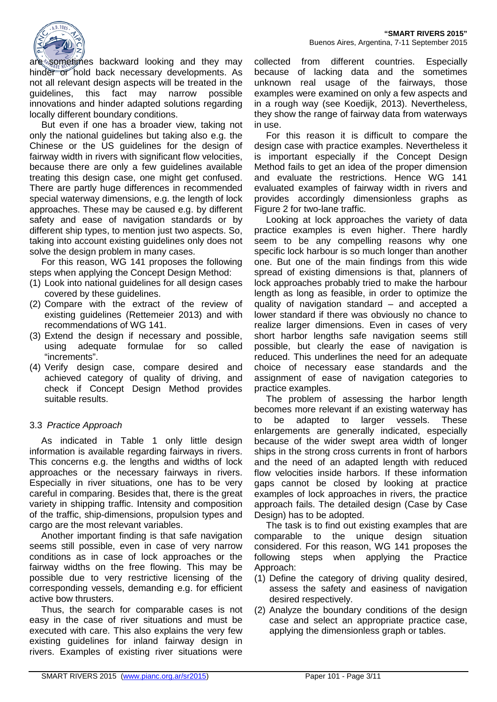

are sometimes backward looking and they may hinder or hold back necessary developments. As not all relevant design aspects will be treated in the guidelines, this fact may narrow possible innovations and hinder adapted solutions regarding locally different boundary conditions.

But even if one has a broader view, taking not only the national guidelines but taking also e.g. the Chinese or the US guidelines for the design of fairway width in rivers with significant flow velocities, because there are only a few guidelines available treating this design case, one might get confused. There are partly huge differences in recommended special waterway dimensions, e.g. the length of lock approaches. These may be caused e.g. by different safety and ease of navigation standards or by different ship types, to mention just two aspects. So, taking into account existing guidelines only does not solve the design problem in many cases.

For this reason, WG 141 proposes the following steps when applying the Concept Design Method:

- (1) Look into national guidelines for all design cases covered by these guidelines.
- (2) Compare with the extract of the review of existing guidelines (Rettemeier 2013) and with recommendations of WG 141.
- (3) Extend the design if necessary and possible, using adequate formulae for so called "increments".
- (4) Verify design case, compare desired and achieved category of quality of driving, and check if Concept Design Method provides suitable results.

## 3.3 *Practice Approach*

As indicated in Table 1 only little design information is available regarding fairways in rivers. This concerns e.g. the lengths and widths of lock approaches or the necessary fairways in rivers. Especially in river situations, one has to be very careful in comparing. Besides that, there is the great variety in shipping traffic. Intensity and composition of the traffic, ship-dimensions, propulsion types and cargo are the most relevant variables.

Another important finding is that safe navigation seems still possible, even in case of very narrow conditions as in case of lock approaches or the fairway widths on the free flowing. This may be possible due to very restrictive licensing of the corresponding vessels, demanding e.g. for efficient active bow thrusters.

Thus, the search for comparable cases is not easy in the case of river situations and must be executed with care. This also explains the very few existing guidelines for inland fairway design in rivers. Examples of existing river situations were

collected from different countries. Especially because of lacking data and the sometimes unknown real usage of the fairways, those examples were examined on only a few aspects and in a rough way (see Koedijk, 2013). Nevertheless, they show the range of fairway data from waterways in use.

For this reason it is difficult to compare the design case with practice examples. Nevertheless it is important especially if the Concept Design Method fails to get an idea of the proper dimension and evaluate the restrictions. Hence WG 141 evaluated examples of fairway width in rivers and provides accordingly dimensionless graphs as Figure 2 for two-lane traffic.

Looking at lock approaches the variety of data practice examples is even higher. There hardly seem to be any compelling reasons why one specific lock harbour is so much longer than another one. But one of the main findings from this wide spread of existing dimensions is that, planners of lock approaches probably tried to make the harbour length as long as feasible, in order to optimize the quality of navigation standard – and accepted a lower standard if there was obviously no chance to realize larger dimensions. Even in cases of very short harbor lengths safe navigation seems still possible, but clearly the ease of navigation is reduced. This underlines the need for an adequate choice of necessary ease standards and the assignment of ease of navigation categories to practice examples.

The problem of assessing the harbor length becomes more relevant if an existing waterway has to be adapted to larger vessels. These enlargements are generally indicated, especially because of the wider swept area width of longer ships in the strong cross currents in front of harbors and the need of an adapted length with reduced flow velocities inside harbors. If these information gaps cannot be closed by looking at practice examples of lock approaches in rivers, the practice approach fails. The detailed design (Case by Case Design) has to be adopted.

The task is to find out existing examples that are comparable to the unique design situation considered. For this reason, WG 141 proposes the following steps when applying the Practice Approach:

- (1) Define the category of driving quality desired, assess the safety and easiness of navigation desired respectively.
- (2) Analyze the boundary conditions of the design case and select an appropriate practice case, applying the dimensionless graph or tables.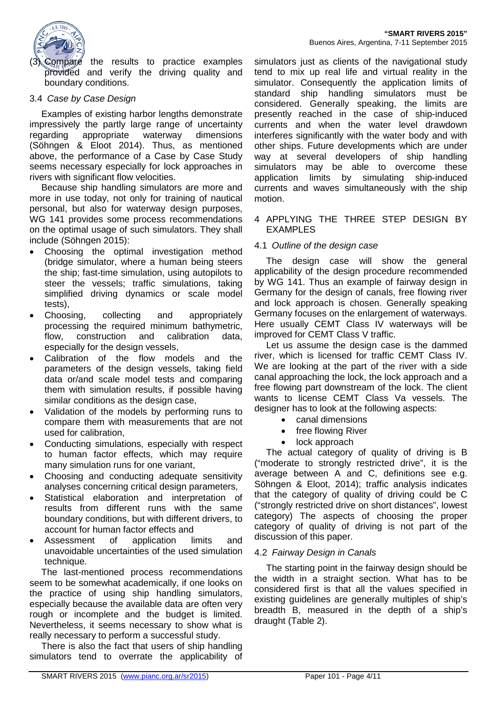

Compare the results to practice examples provided and verify the driving quality and boundary conditions.

## 3.4 *Case by Case Design*

Examples of existing harbor lengths demonstrate impressively the partly large range of uncertainty regarding appropriate waterway dimensions (Söhngen & Eloot 2014). Thus, as mentioned above, the performance of a Case by Case Study seems necessary especially for lock approaches in rivers with significant flow velocities.

Because ship handling simulators are more and more in use today, not only for training of nautical personal, but also for waterway design purposes, WG 141 provides some process recommendations on the optimal usage of such simulators. They shall include (Söhngen 2015):

- Choosing the optimal investigation method (bridge simulator, where a human being steers the ship; fast-time simulation, using autopilots to steer the vessels; traffic simulations, taking simplified driving dynamics or scale model tests),
- Choosing, collecting and appropriately processing the required minimum bathymetric, flow, construction and calibration data, especially for the design vessels,
- Calibration of the flow models and the parameters of the design vessels, taking field data or/and scale model tests and comparing them with simulation results, if possible having similar conditions as the design case,
- Validation of the models by performing runs to compare them with measurements that are not used for calibration,
- Conducting simulations, especially with respect to human factor effects, which may require many simulation runs for one variant,
- Choosing and conducting adequate sensitivity analyses concerning critical design parameters,
- Statistical elaboration and interpretation of results from different runs with the same boundary conditions, but with different drivers, to account for human factor effects and
- Assessment of application limits and unavoidable uncertainties of the used simulation technique.

The last-mentioned process recommendations seem to be somewhat academically, if one looks on the practice of using ship handling simulators, especially because the available data are often very rough or incomplete and the budget is limited. Nevertheless, it seems necessary to show what is really necessary to perform a successful study.

There is also the fact that users of ship handling simulators tend to overrate the applicability of

simulators just as clients of the navigational study tend to mix up real life and virtual reality in the simulator. Consequently the application limits of standard ship handling simulators must be considered. Generally speaking, the limits are presently reached in the case of ship-induced currents and when the water level drawdown interferes significantly with the water body and with other ships. Future developments which are under way at several developers of ship handling simulators may be able to overcome these application limits by simulating ship-induced currents and waves simultaneously with the ship motion.

#### 4 APPLYING THE THREE STEP DESIGN BY EXAMPLES

## 4.1 *Outline of the design case*

The design case will show the general applicability of the design procedure recommended by WG 141. Thus an example of fairway design in Germany for the design of canals, free flowing river and lock approach is chosen. Generally speaking Germany focuses on the enlargement of waterways. Here usually CEMT Class IV waterways will be improved for CEMT Class V traffic.

Let us assume the design case is the dammed river, which is licensed for traffic CEMT Class IV. We are looking at the part of the river with a side canal approaching the lock, the lock approach and a free flowing part downstream of the lock. The client wants to license CEMT Class Va vessels. The designer has to look at the following aspects:

- canal dimensions
- free flowing River
- lock approach

The actual category of quality of driving is B ("moderate to strongly restricted drive", it is the average between A and C, definitions see e.g. Söhngen & Eloot, 2014); traffic analysis indicates that the category of quality of driving could be C ("strongly restricted drive on short distances", lowest category) The aspects of choosing the proper category of quality of driving is not part of the discussion of this paper.

## 4.2 *Fairway Design in Canals*

The starting point in the fairway design should be the width in a straight section. What has to be considered first is that all the values specified in existing guidelines are generally multiples of ship's breadth B, measured in the depth of a ship's draught (Table 2).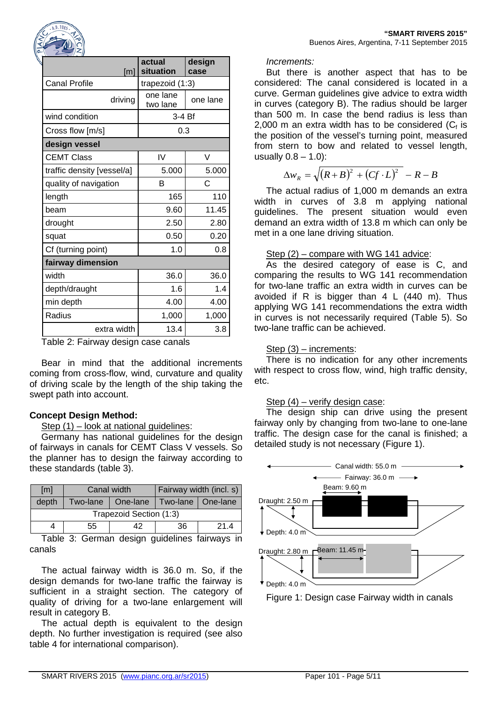

| [m]                        | actual<br>situation  | design<br>case |  |  |
|----------------------------|----------------------|----------------|--|--|
| <b>Canal Profile</b>       | trapezoid (1:3)      |                |  |  |
| driving                    | one lane<br>two lane | one lane       |  |  |
| wind condition             | $3-4Bf$              |                |  |  |
| Cross flow [m/s]           | 0.3                  |                |  |  |
| design vessel              |                      |                |  |  |
| <b>CEMT Class</b>          | IV                   | V              |  |  |
| traffic density [vessel/a] | 5.000                | 5.000          |  |  |
| quality of navigation      | В                    | C              |  |  |
| length                     | 165                  | 110            |  |  |
| beam                       | 9.60                 | 11.45          |  |  |
| drought                    | 2.50                 | 2.80           |  |  |
| squat                      | 0.50                 | 0.20           |  |  |
| Cf (turning point)         | 1.0                  | 0.8            |  |  |
| fairway dimension          |                      |                |  |  |
| width                      | 36.0                 | 36.0           |  |  |
| depth/draught              | 1.6                  | 1.4            |  |  |
| min depth                  | 4.00                 | 4.00           |  |  |
| Radius                     | 1,000                | 1,000          |  |  |
| extra width                | 13.4                 | 3.8            |  |  |

Table 2: Fairway design case canals

Bear in mind that the additional increments coming from cross-flow, wind, curvature and quality of driving scale by the length of the ship taking the swept path into account.

## **Concept Design Method:**

#### Step (1) – look at national guidelines:

Germany has national guidelines for the design of fairways in canals for CEMT Class V vessels. So the planner has to design the fairway according to these standards (table 3).

| [ <sub>m</sub> ] | Canal width             |                                | Fairway width (incl. s) |      |  |  |  |
|------------------|-------------------------|--------------------------------|-------------------------|------|--|--|--|
| depth            | Two-lane                | One-lane   Two-lane   One-lane |                         |      |  |  |  |
|                  | Trapezoid Section (1:3) |                                |                         |      |  |  |  |
|                  | 55                      | 42                             | 36                      | 21.4 |  |  |  |
|                  | $\sim$                  |                                |                         | .    |  |  |  |

Table 3: German design guidelines fairways in canals

The actual fairway width is 36.0 m. So, if the design demands for two-lane traffic the fairway is sufficient in a straight section. The category of quality of driving for a two-lane enlargement will result in category B.

The actual depth is equivalent to the design depth. No further investigation is required (see also table 4 for international comparison).

## *Increments:*

But there is another aspect that has to be considered: The canal considered is located in a curve. German guidelines give advice to extra width in curves (category B). The radius should be larger than 500 m. In case the bend radius is less than 2,000 m an extra width has to be considered  $(C_f)$  is the position of the vessel's turning point, measured from stern to bow and related to vessel length, usually  $0.8 - 1.0$ :

$$
\Delta w_R = \sqrt{(R+B)^2 + (Cf \cdot L)^2} - R - B
$$

The actual radius of 1,000 m demands an extra width in curves of 3.8 m applying national guidelines. The present situation would even demand an extra width of 13.8 m which can only be met in a one lane driving situation.

## Step (2) – compare with WG 141 advice:

As the desired category of ease is C, and comparing the results to WG 141 recommendation for two-lane traffic an extra width in curves can be avoided if R is bigger than 4 L (440 m). Thus applying WG 141 recommendations the extra width in curves is not necessarily required (Table 5). So two-lane traffic can be achieved.

#### Step (3) – increments:

There is no indication for any other increments with respect to cross flow, wind, high traffic density, etc.

#### Step (4) – verify design case:

The design ship can drive using the present fairway only by changing from two-lane to one-lane traffic. The design case for the canal is finished; a detailed study is not necessary (Figure 1).



Figure 1: Design case Fairway width in canals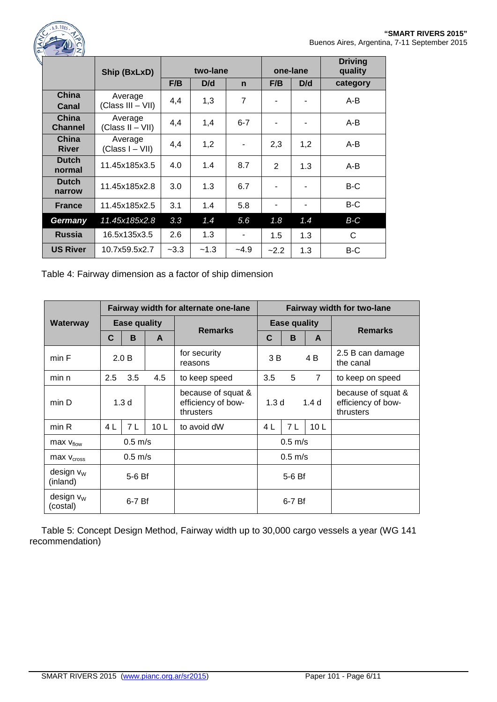

|                         | Ship (BxLxD)                  |        | two-lane |             |                | one-lane | <b>Driving</b><br>quality |
|-------------------------|-------------------------------|--------|----------|-------------|----------------|----------|---------------------------|
|                         |                               | F/B    | D/d      | $\mathbf n$ | F/B            | D/d      | category                  |
| China<br>Canal          | Average<br>(Class III - VII)  | 4,4    | 1,3      | 7           |                |          | $A-B$                     |
| China<br><b>Channel</b> | Average<br>$(Class II - VII)$ | 4,4    | 1,4      | $6 - 7$     |                |          | $A-B$                     |
| China<br><b>River</b>   | Average<br>(Class I – VII)    | 4,4    | 1,2      |             | 2,3            | 1,2      | A-B                       |
| <b>Dutch</b><br>normal  | 11.45x185x3.5                 | 4.0    | 1.4      | 8.7         | $\overline{2}$ | 1.3      | $A-B$                     |
| <b>Dutch</b><br>narrow  | 11.45x185x2.8                 | 3.0    | 1.3      | 6.7         |                |          | $B-C$                     |
| <b>France</b>           | 11.45x185x2.5                 | 3.1    | 1.4      | 5.8         | ۰              |          | $B-C$                     |
| Germany                 | 11.45x185x2.8                 | 3.3    | 1.4      | 5.6         | 1.8            | 1.4      | $B-C$                     |
| <b>Russia</b>           | 16.5x135x3.5                  | 2.6    | 1.3      | ۰           | 1.5            | 1.3      | $\mathsf{C}$              |
| <b>US River</b>         | 10.7x59.5x2.7                 | $-3.3$ | $-1.3$   | $-4.9$      | $-2.2$         | 1.3      | B-C                       |

Table 4: Fairway dimension as a factor of ship dimension

|                          | Fairway width for alternate one-lane |                  |                 |                                                       |                                      |                        | <b>Fairway width for two-lane</b> |                                                       |
|--------------------------|--------------------------------------|------------------|-----------------|-------------------------------------------------------|--------------------------------------|------------------------|-----------------------------------|-------------------------------------------------------|
| Waterway                 | <b>Ease quality</b>                  |                  |                 | <b>Remarks</b>                                        | <b>Ease quality</b>                  |                        |                                   | <b>Remarks</b>                                        |
|                          | C                                    | B                | A               |                                                       | C                                    | B                      | A                                 |                                                       |
| min F                    |                                      | 2.0 B            |                 | for security<br>reasons                               | 3 B                                  |                        | 4 B                               | 2.5 B can damage<br>the canal                         |
| min n                    | 2.5                                  | 3.5              | 4.5             | to keep speed                                         | 3.5                                  | 5                      | $\overline{7}$                    | to keep on speed                                      |
| min D                    |                                      | 1.3 <sub>d</sub> |                 | because of squat &<br>efficiency of bow-<br>thrusters | 1.3 <sub>d</sub><br>1.4 <sub>d</sub> |                        |                                   | because of squat &<br>efficiency of bow-<br>thrusters |
| min R                    | 4 L                                  | 7 L              | 10 <sub>L</sub> | to avoid dW                                           | 4 <sub>L</sub>                       | 7 L<br>10 <sub>L</sub> |                                   |                                                       |
| $max$ $V_{flow}$         | $0.5$ m/s                            |                  |                 |                                                       | $0.5$ m/s                            |                        |                                   |                                                       |
| $max$ $v_{cross}$        | $0.5$ m/s                            |                  |                 |                                                       | $0.5$ m/s                            |                        |                                   |                                                       |
| design $v_w$<br>(inland) | $5-6Bf$                              |                  |                 |                                                       | 5-6 Bf                               |                        |                                   |                                                       |
| design $v_w$<br>(costal) | $6-7Bf$                              |                  |                 |                                                       |                                      | $6-7Bf$                |                                   |                                                       |

Table 5: Concept Design Method, Fairway width up to 30,000 cargo vessels a year (WG 141 recommendation)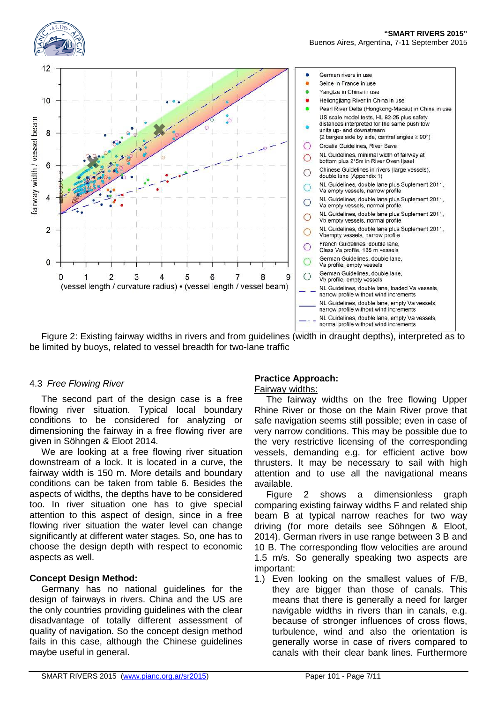





Figure 2: Existing fairway widths in rivers and from guidelines (width in draught depths), interpreted as to be limited by buoys, related to vessel breadth for two-lane traffic

## 4.3 *Free Flowing River*

The second part of the design case is a free flowing river situation. Typical local boundary conditions to be considered for analyzing or dimensioning the fairway in a free flowing river are given in Söhngen & Eloot 2014.

We are looking at a free flowing river situation downstream of a lock. It is located in a curve, the fairway width is 150 m. More details and boundary conditions can be taken from table 6. Besides the aspects of widths, the depths have to be considered too. In river situation one has to give special attention to this aspect of design, since in a free flowing river situation the water level can change significantly at different water stages. So, one has to choose the design depth with respect to economic aspects as well.

## **Concept Design Method:**

Germany has no national guidelines for the design of fairways in rivers. China and the US are the only countries providing guidelines with the clear disadvantage of totally different assessment of quality of navigation. So the concept design method fails in this case, although the Chinese guidelines maybe useful in general.

## **Practice Approach:**

## Fairway widths:

The fairway widths on the free flowing Upper Rhine River or those on the Main River prove that safe navigation seems still possible; even in case of very narrow conditions. This may be possible due to the very restrictive licensing of the corresponding vessels, demanding e.g. for efficient active bow thrusters. It may be necessary to sail with high attention and to use all the navigational means available.

Figure 2 shows a dimensionless graph comparing existing fairway widths F and related ship beam B at typical narrow reaches for two way driving (for more details see Söhngen & Eloot, 2014). German rivers in use range between 3 B and 10 B. The corresponding flow velocities are around 1.5 m/s. So generally speaking two aspects are important:

1.) Even looking on the smallest values of F/B, they are bigger than those of canals. This means that there is generally a need for larger navigable widths in rivers than in canals, e.g. because of stronger influences of cross flows, turbulence, wind and also the orientation is generally worse in case of rivers compared to canals with their clear bank lines. Furthermore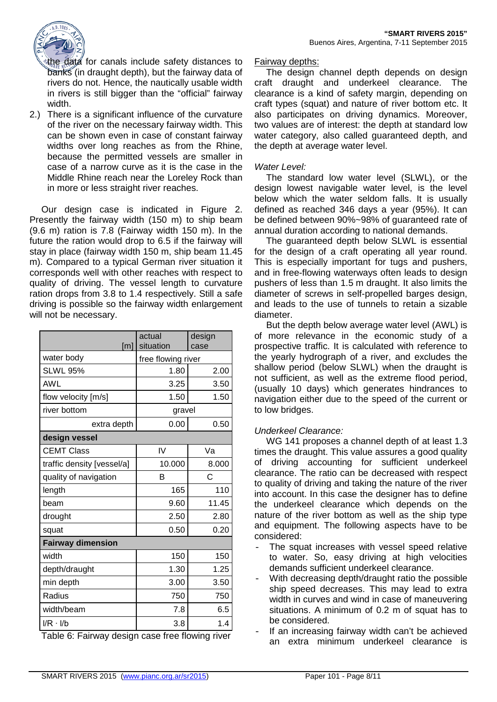

the data for canals include safety distances to banks (in draught depth), but the fairway data of rivers do not. Hence, the nautically usable width in rivers is still bigger than the "official" fairway width.

2.) There is a significant influence of the curvature of the river on the necessary fairway width. This can be shown even in case of constant fairway widths over long reaches as from the Rhine, because the permitted vessels are smaller in case of a narrow curve as it is the case in the Middle Rhine reach near the Loreley Rock than in more or less straight river reaches.

Our design case is indicated in Figure 2. Presently the fairway width (150 m) to ship beam (9.6 m) ration is 7.8 (Fairway width 150 m). In the future the ration would drop to 6.5 if the fairway will stay in place (fairway width 150 m, ship beam 11.45 m). Compared to a typical German river situation it corresponds well with other reaches with respect to quality of driving. The vessel length to curvature ration drops from 3.8 to 1.4 respectively. Still a safe driving is possible so the fairway width enlargement will not be necessary.

| [m]                        | actual<br>situation | design<br>case |  |  |
|----------------------------|---------------------|----------------|--|--|
| water body                 | free flowing river  |                |  |  |
| <b>SLWL 95%</b>            | 1.80                | 2.00           |  |  |
| <b>AWL</b>                 | 3.25                | 3.50           |  |  |
| flow velocity [m/s]        | 1.50                | 1.50           |  |  |
| river bottom               | gravel              |                |  |  |
| extra depth                | 0.00                | 0.50           |  |  |
| design vessel              |                     |                |  |  |
| <b>CEMT Class</b>          | IV                  | Va             |  |  |
| traffic density [vessel/a] | 10.000              | 8.000          |  |  |
| quality of navigation      | B                   | C              |  |  |
| length                     | 165                 | 110            |  |  |
| beam                       | 9.60                | 11.45          |  |  |
| drought                    | 2.50                | 2.80           |  |  |
| squat                      | 0.50                | 0.20           |  |  |
| <b>Fairway dimension</b>   |                     |                |  |  |
| width                      | 150                 | 150            |  |  |
| depth/draught              | 1.30                | 1.25           |  |  |
| min depth                  | 3.00                | 3.50           |  |  |
| Radius                     | 750                 | 750            |  |  |
| width/beam                 | 7.8                 | 6.5            |  |  |
| $I/R \cdot I/b$<br>÷       | 3.8                 | 1.4<br>÷<br>ż. |  |  |

Table 6: Fairway design case free flowing river

## Fairway depths:

The design channel depth depends on design craft draught and underkeel clearance. The clearance is a kind of safety margin, depending on craft types (squat) and nature of river bottom etc. It also participates on driving dynamics. Moreover, two values are of interest: the depth at standard low water category, also called guaranteed depth, and the depth at average water level.

## *Water Level:*

The standard low water level (SLWL), or the design lowest navigable water level, is the level below which the water seldom falls. It is usually defined as reached 346 days a year (95%). It can be defined between 90%~98% of guaranteed rate of annual duration according to national demands.

The guaranteed depth below SLWL is essential for the design of a craft operating all year round. This is especially important for tugs and pushers, and in free-flowing waterways often leads to design pushers of less than 1.5 m draught. It also limits the diameter of screws in self-propelled barges design, and leads to the use of tunnels to retain a sizable diameter.

But the depth below average water level (AWL) is of more relevance in the economic study of a prospective traffic. It is calculated with reference to the yearly hydrograph of a river, and excludes the shallow period (below SLWL) when the draught is not sufficient, as well as the extreme flood period, (usually 10 days) which generates hindrances to navigation either due to the speed of the current or to low bridges.

## *Underkeel Clearance:*

WG 141 proposes a channel depth of at least 1.3 times the draught. This value assures a good quality of driving accounting for sufficient underkeel clearance. The ratio can be decreased with respect to quality of driving and taking the nature of the river into account. In this case the designer has to define the underkeel clearance which depends on the nature of the river bottom as well as the ship type and equipment. The following aspects have to be considered:

- The squat increases with vessel speed relative to water. So, easy driving at high velocities demands sufficient underkeel clearance.
- With decreasing depth/draught ratio the possible ship speed decreases. This may lead to extra width in curves and wind in case of maneuvering situations. A minimum of 0.2 m of squat has to be considered.
- If an increasing fairway width can't be achieved an extra minimum underkeel clearance is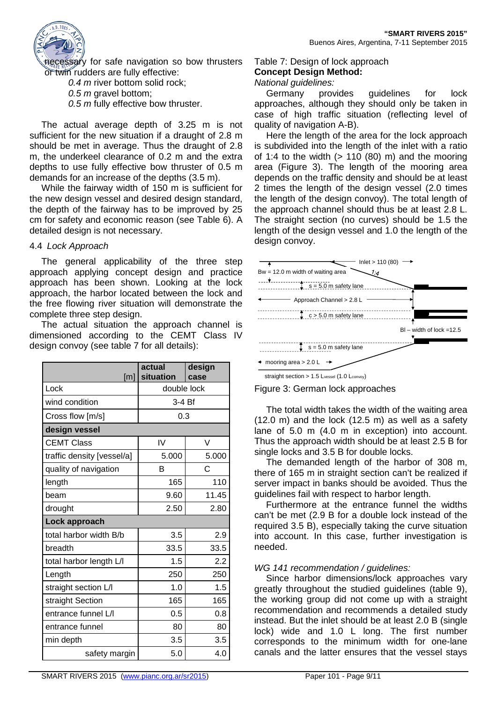

necessary for safe navigation so bow thrusters or twin rudders are fully effective:

*0.4 m* river bottom solid rock;

*0.5 m* gravel bottom;

*0.5 m* fully effective bow thruster.

The actual average depth of 3.25 m is not sufficient for the new situation if a draught of 2.8 m should be met in average. Thus the draught of 2.8 m, the underkeel clearance of 0.2 m and the extra depths to use fully effective bow thruster of 0.5 m demands for an increase of the depths (3.5 m).

While the fairway width of 150 m is sufficient for the new design vessel and desired design standard, the depth of the fairway has to be improved by 25 cm for safety and economic reason (see Table 6). A detailed design is not necessary.

## 4.4 *Lock Approach*

The general applicability of the three step approach applying concept design and practice approach has been shown. Looking at the lock approach, the harbor located between the lock and the free flowing river situation will demonstrate the complete three step design.

The actual situation the approach channel is dimensioned according to the CEMT Class IV design convoy (see table 7 for all details):

| [m]                        | actual<br>situation | design<br>case |  |  |  |
|----------------------------|---------------------|----------------|--|--|--|
| Lock                       | double lock         |                |  |  |  |
| wind condition             | 3-4 Bf              |                |  |  |  |
| Cross flow [m/s]           | 0.3                 |                |  |  |  |
| design vessel              |                     |                |  |  |  |
| <b>CEMT Class</b>          | IV                  | V              |  |  |  |
| traffic density [vessel/a] | 5.000               | 5.000          |  |  |  |
| quality of navigation      | в                   | C              |  |  |  |
| length                     | 165                 | 110            |  |  |  |
| heam                       | 9.60                | 11.45          |  |  |  |
| drought                    | 2.50                | 2.80           |  |  |  |
| Lock approach              |                     |                |  |  |  |
| total harbor width B/b     | 3.5                 | 2.9            |  |  |  |
| breadth                    | 33.5                | 33.5           |  |  |  |
| total harbor length L/I    | 1.5                 | 2.2            |  |  |  |
| Length                     | 250                 | 250            |  |  |  |
| straight section L/I       | 1.0                 | 1.5            |  |  |  |
| straight Section           | 165                 | 165            |  |  |  |
| entrance funnel L/I        | 0.5                 | 0.8            |  |  |  |
| entrance funnel            | 80                  | 80             |  |  |  |
| min depth                  | 3.5                 | 3.5            |  |  |  |
| safety margin              | 5.0                 | 4.0            |  |  |  |

Table 7: Design of lock approach **Concept Design Method:**

## *National guidelines:*

Germany provides guidelines for lock approaches, although they should only be taken in case of high traffic situation (reflecting level of quality of navigation A-B).

Here the length of the area for the lock approach is subdivided into the length of the inlet with a ratio of 1:4 to the width  $(> 110 (80)$  m) and the mooring area (Figure 3). The length of the mooring area depends on the traffic density and should be at least 2 times the length of the design vessel (2.0 times the length of the design convoy). The total length of the approach channel should thus be at least 2.8 L. The straight section (no curves) should be 1.5 the length of the design vessel and 1.0 the length of the design convoy.





The total width takes the width of the waiting area  $(12.0 \text{ m})$  and the lock  $(12.5 \text{ m})$  as well as a safety lane of 5.0 m (4.0 m in exception) into account. Thus the approach width should be at least 2.5 B for single locks and 3.5 B for double locks.

The demanded length of the harbor of 308 m, there of 165 m in straight section can't be realized if server impact in banks should be avoided. Thus the guidelines fail with respect to harbor length.

Furthermore at the entrance funnel the widths can't be met (2.9 B for a double lock instead of the required 3.5 B), especially taking the curve situation into account. In this case, further investigation is needed.

## *WG 141 recommendation / guidelines:*

Since harbor dimensions/lock approaches vary greatly throughout the studied guidelines (table 9), the working group did not come up with a straight recommendation and recommends a detailed study instead. But the inlet should be at least 2.0 B (single lock) wide and 1.0 L long. The first number corresponds to the minimum width for one-lane canals and the latter ensures that the vessel stays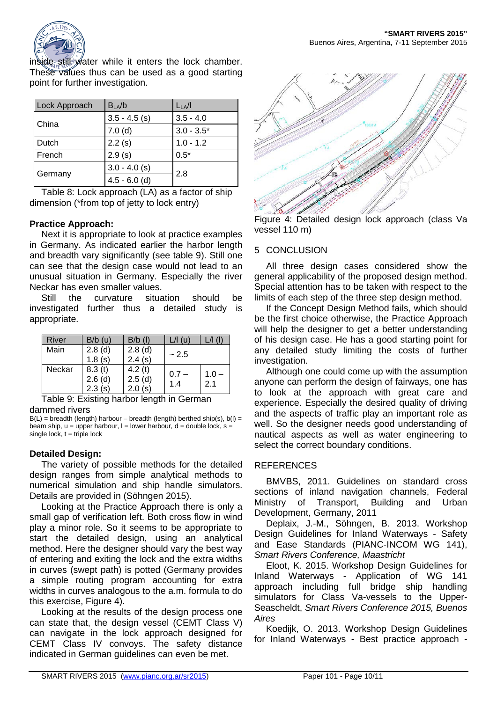

inside still water while it enters the lock chamber. These values thus can be used as a good starting point for further investigation.

| Lock Approach | $B_{LA}/b$      | $L_{LA}/I$   |
|---------------|-----------------|--------------|
| China         | $3.5 - 4.5$ (s) | $3.5 - 4.0$  |
|               | 7.0(d)          | $3.0 - 3.5*$ |
| Dutch         | 2.2(s)          | $1.0 - 1.2$  |
| French        | 2.9(s)          | $0.5*$       |
|               | $3.0 - 4.0$ (s) |              |
| Germany       | $4.5 - 6.0$ (d) | 2.8          |

Table 8: Lock approach (LA) as a factor of ship dimension (\*from top of jetty to lock entry)

## **Practice Approach:**

Next it is appropriate to look at practice examples in Germany. As indicated earlier the harbor length and breadth vary significantly (see table 9). Still one can see that the design case would not lead to an unusual situation in Germany. Especially the river Neckar has even smaller values.

Still the curvature situation should be investigated further thus a detailed study is appropriate.

| River  | $B/b$ (u)                     | $B/b$ (l)                  | $L/I$ (u)      |                |
|--------|-------------------------------|----------------------------|----------------|----------------|
| Main   | $2.8$ (d)<br>1.8(s)           | $2.8$ (d)<br>2.4(s)        | ~2.5           |                |
| Neckar | 8.3(t)<br>$2.6$ (d)<br>2.3(s) | 4.2(t)<br>2.5(d)<br>2.0(s) | $0.7 -$<br>1.4 | $1.0 -$<br>2.1 |

Table 9: Existing harbor length in German dammed rivers

 $B(L)$  = breadth (length) harbour – breadth (length) berthed ship(s), b(l) = beam ship,  $u =$  upper harbour,  $l =$  lower harbour,  $d =$  double lock,  $s =$ single lock,  $t = triple$  lock

## **Detailed Design:**

The variety of possible methods for the detailed design ranges from simple analytical methods to numerical simulation and ship handle simulators. Details are provided in (Söhngen 2015).

Looking at the Practice Approach there is only a small gap of verification left. Both cross flow in wind play a minor role. So it seems to be appropriate to start the detailed design, using an analytical method. Here the designer should vary the best way of entering and exiting the lock and the extra widths in curves (swept path) is potted (Germany provides a simple routing program accounting for extra widths in curves analogous to the a.m. formula to do this exercise, Figure 4).

Looking at the results of the design process one can state that, the design vessel (CEMT Class V) can navigate in the lock approach designed for CEMT Class IV convoys. The safety distance indicated in German guidelines can even be met.



Figure 4: Detailed design lock approach (class Va vessel 110 m)

## 5 CONCLUSION

All three design cases considered show the general applicability of the proposed design method. Special attention has to be taken with respect to the limits of each step of the three step design method.

If the Concept Design Method fails, which should be the first choice otherwise, the Practice Approach will help the designer to get a better understanding of his design case. He has a good starting point for any detailed study limiting the costs of further investigation.

Although one could come up with the assumption anyone can perform the design of fairways, one has to look at the approach with great care and experience. Especially the desired quality of driving and the aspects of traffic play an important role as well. So the designer needs good understanding of nautical aspects as well as water engineering to select the correct boundary conditions.

## **REFERENCES**

BMVBS, 2011. Guidelines on standard cross sections of inland navigation channels, Federal Ministry of Transport, Building and Urban Development, Germany, 2011

Deplaix, J.-M., Söhngen, B. 2013. Workshop Design Guidelines for Inland Waterways - Safety and Ease Standards (PIANC-INCOM WG 141), *Smart Rivers Conference, Maastricht*

Eloot, K. 2015. Workshop Design Guidelines for Inland Waterways - Application of WG 141 approach including full bridge ship handling simulators for Class Va-vessels to the Upper-Seascheldt, *Smart Rivers Conference 2015, Buenos Aires*

Koedijk, O. 2013. Workshop Design Guidelines for Inland Waterways - Best practice approach -